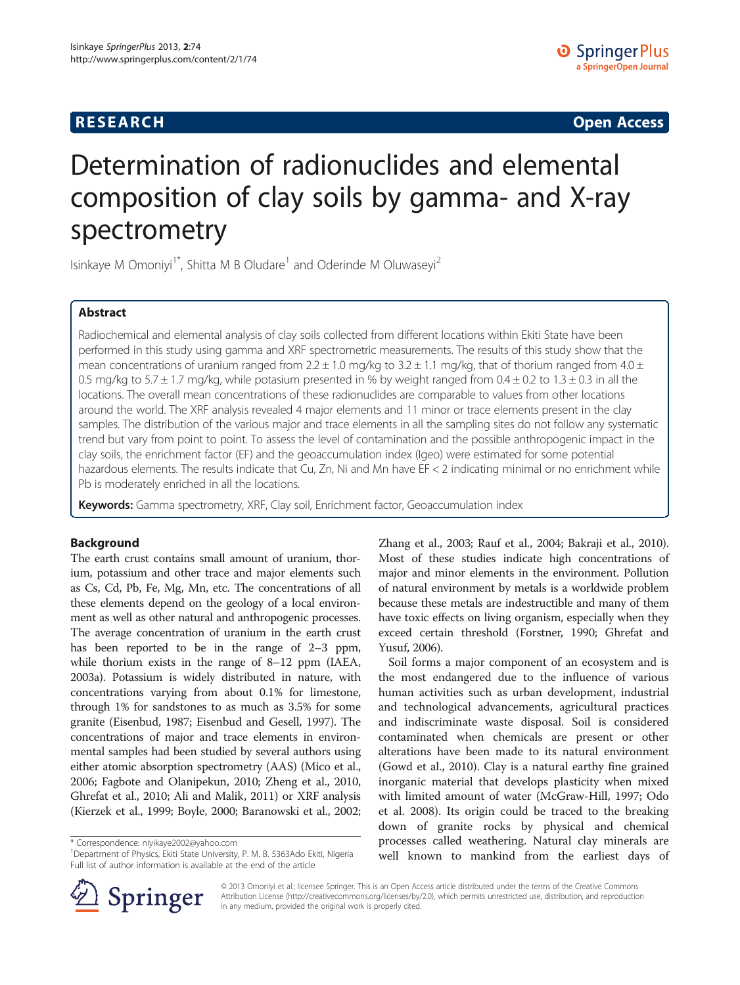## **RESEARCH CHINESE ARCH CHINESE ARCH CHINESE ARCH <b>CHINESE ARCH**

# Determination of radionuclides and elemental composition of clay soils by gamma- and X-ray spectrometry

Isinkaye M Omoniyi<sup>1\*</sup>, Shitta M B Oludare<sup>1</sup> and Oderinde M Oluwaseyi<sup>2</sup>

## Abstract

Radiochemical and elemental analysis of clay soils collected from different locations within Ekiti State have been performed in this study using gamma and XRF spectrometric measurements. The results of this study show that the mean concentrations of uranium ranged from  $2.2 \pm 1.0$  mg/kg to  $3.2 \pm 1.1$  mg/kg, that of thorium ranged from  $4.0 \pm$ 0.5 mg/kg to 5.7  $\pm$  1.7 mg/kg, while potasium presented in % by weight ranged from  $0.4 \pm 0.2$  to 1.3  $\pm$  0.3 in all the locations. The overall mean concentrations of these radionuclides are comparable to values from other locations around the world. The XRF analysis revealed 4 major elements and 11 minor or trace elements present in the clay samples. The distribution of the various major and trace elements in all the sampling sites do not follow any systematic trend but vary from point to point. To assess the level of contamination and the possible anthropogenic impact in the clay soils, the enrichment factor (EF) and the geoaccumulation index (Igeo) were estimated for some potential hazardous elements. The results indicate that Cu, Zn, Ni and Mn have EF < 2 indicating minimal or no enrichment while Pb is moderately enriched in all the locations.

Keywords: Gamma spectrometry, XRF, Clay soil, Enrichment factor, Geoaccumulation index

## Background

The earth crust contains small amount of uranium, thorium, potassium and other trace and major elements such as Cs, Cd, Pb, Fe, Mg, Mn, etc. The concentrations of all these elements depend on the geology of a local environment as well as other natural and anthropogenic processes. The average concentration of uranium in the earth crust has been reported to be in the range of 2–3 ppm, while thorium exists in the range of 8–12 ppm (IAEA, [2003a\)](#page-9-0). Potassium is widely distributed in nature, with concentrations varying from about 0.1% for limestone, through 1% for sandstones to as much as 3.5% for some granite (Eisenbud, [1987](#page-9-0); Eisenbud and Gesell, [1997\)](#page-9-0). The concentrations of major and trace elements in environmental samples had been studied by several authors using either atomic absorption spectrometry (AAS) (Mico et al., [2006;](#page-10-0) Fagbote and Olanipekun, [2010;](#page-9-0) Zheng et al., [2010](#page-10-0), Ghrefat et al., [2010](#page-9-0); Ali and Malik, [2011\)](#page-9-0) or XRF analysis (Kierzek et al., [1999](#page-9-0); Boyle, [2000](#page-9-0); Baranowski et al., [2002](#page-9-0);

\* Correspondence: [niyikaye2002@yahoo.com](mailto:niyikaye2002@yahoo.com) <sup>1</sup>

<sup>1</sup>Department of Physics, Ekiti State University, P. M. B. 5363Ado Ekiti, Nigeria Full list of author information is available at the end of the article

Zhang et al., [2003;](#page-10-0) Rauf et al., [2004](#page-10-0); Bakraji et al., [2010](#page-9-0)). Most of these studies indicate high concentrations of major and minor elements in the environment. Pollution of natural environment by metals is a worldwide problem because these metals are indestructible and many of them have toxic effects on living organism, especially when they exceed certain threshold (Forstner, [1990;](#page-9-0) Ghrefat and Yusuf, [2006\)](#page-9-0).

Soil forms a major component of an ecosystem and is the most endangered due to the influence of various human activities such as urban development, industrial and technological advancements, agricultural practices and indiscriminate waste disposal. Soil is considered contaminated when chemicals are present or other alterations have been made to its natural environment (Gowd et al., [2010\)](#page-9-0). Clay is a natural earthy fine grained inorganic material that develops plasticity when mixed with limited amount of water (McGraw-Hill, [1997;](#page-10-0) Odo et al. [2008\)](#page-10-0). Its origin could be traced to the breaking down of granite rocks by physical and chemical processes called weathering. Natural clay minerals are well known to mankind from the earliest days of



© 2013 Omoniyi et al.; licensee Springer. This is an Open Access article distributed under the terms of the Creative Commons Attribution License [\(http://creativecommons.org/licenses/by/2.0\)](http://creativecommons.org/licenses/by/2.0), which permits unrestricted use, distribution, and reproduction in any medium, provided the original work is properly cited.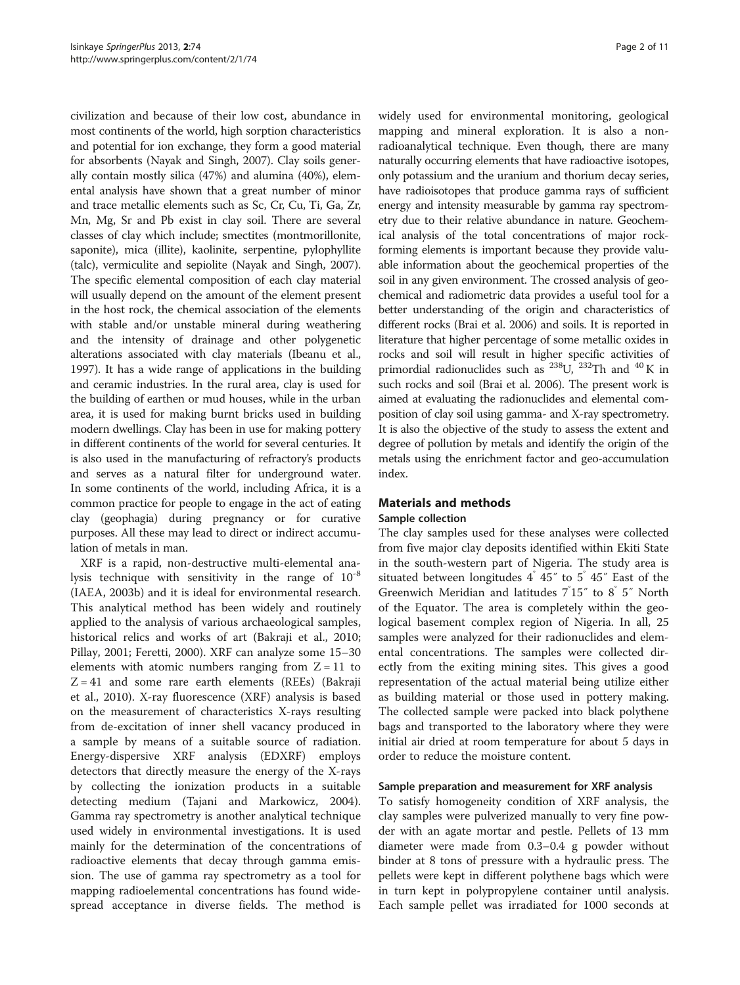civilization and because of their low cost, abundance in most continents of the world, high sorption characteristics and potential for ion exchange, they form a good material for absorbents (Nayak and Singh, [2007\)](#page-10-0). Clay soils generally contain mostly silica (47%) and alumina (40%), elemental analysis have shown that a great number of minor and trace metallic elements such as Sc, Cr, Cu, Ti, Ga, Zr, Mn, Mg, Sr and Pb exist in clay soil. There are several classes of clay which include; smectites (montmorillonite, saponite), mica (illite), kaolinite, serpentine, pylophyllite (talc), vermiculite and sepiolite (Nayak and Singh, [2007](#page-10-0)). The specific elemental composition of each clay material will usually depend on the amount of the element present in the host rock, the chemical association of the elements with stable and/or unstable mineral during weathering and the intensity of drainage and other polygenetic alterations associated with clay materials (Ibeanu et al., [1997\)](#page-9-0). It has a wide range of applications in the building and ceramic industries. In the rural area, clay is used for the building of earthen or mud houses, while in the urban area, it is used for making burnt bricks used in building modern dwellings. Clay has been in use for making pottery in different continents of the world for several centuries. It is also used in the manufacturing of refractory's products and serves as a natural filter for underground water. In some continents of the world, including Africa, it is a common practice for people to engage in the act of eating clay (geophagia) during pregnancy or for curative purposes. All these may lead to direct or indirect accumulation of metals in man.

XRF is a rapid, non-destructive multi-elemental analysis technique with sensitivity in the range of  $10^{-8}$ (IAEA, [2003b\)](#page-9-0) and it is ideal for environmental research. This analytical method has been widely and routinely applied to the analysis of various archaeological samples, historical relics and works of art (Bakraji et al., [2010](#page-9-0); Pillay, [2001;](#page-10-0) Feretti, [2000](#page-9-0)). XRF can analyze some 15–30 elements with atomic numbers ranging from  $Z = 11$  to  $Z = 41$  and some rare earth elements (REEs) (Bakraji et al., [2010](#page-9-0)). X-ray fluorescence (XRF) analysis is based on the measurement of characteristics X-rays resulting from de-excitation of inner shell vacancy produced in a sample by means of a suitable source of radiation. Energy-dispersive XRF analysis (EDXRF) employs detectors that directly measure the energy of the X-rays by collecting the ionization products in a suitable detecting medium (Tajani and Markowicz, [2004](#page-10-0)). Gamma ray spectrometry is another analytical technique used widely in environmental investigations. It is used mainly for the determination of the concentrations of radioactive elements that decay through gamma emission. The use of gamma ray spectrometry as a tool for mapping radioelemental concentrations has found widespread acceptance in diverse fields. The method is widely used for environmental monitoring, geological mapping and mineral exploration. It is also a nonradioanalytical technique. Even though, there are many naturally occurring elements that have radioactive isotopes, only potassium and the uranium and thorium decay series, have radioisotopes that produce gamma rays of sufficient energy and intensity measurable by gamma ray spectrometry due to their relative abundance in nature. Geochemical analysis of the total concentrations of major rockforming elements is important because they provide valuable information about the geochemical properties of the soil in any given environment. The crossed analysis of geochemical and radiometric data provides a useful tool for a better understanding of the origin and characteristics of different rocks (Brai et al. [2006](#page-9-0)) and soils. It is reported in literature that higher percentage of some metallic oxides in rocks and soil will result in higher specific activities of primordial radionuclides such as  $^{238}$ U,  $^{232}$ Th and  $^{40}$ K in such rocks and soil (Brai et al. [2006](#page-9-0)). The present work is aimed at evaluating the radionuclides and elemental composition of clay soil using gamma- and X-ray spectrometry. It is also the objective of the study to assess the extent and degree of pollution by metals and identify the origin of the metals using the enrichment factor and geo-accumulation index.

## Materials and methods

## Sample collection

The clay samples used for these analyses were collected from five major clay deposits identified within Ekiti State in the south-western part of Nigeria. The study area is situated between longitudes  $4^{\degree}$  45" to 5 $^{\degree}$  45" East of the Greenwich Meridian and latitudes 7° 15˝ to 8° 5˝ North of the Equator. The area is completely within the geological basement complex region of Nigeria. In all, 25 samples were analyzed for their radionuclides and elemental concentrations. The samples were collected directly from the exiting mining sites. This gives a good representation of the actual material being utilize either as building material or those used in pottery making. The collected sample were packed into black polythene bags and transported to the laboratory where they were initial air dried at room temperature for about 5 days in order to reduce the moisture content.

### Sample preparation and measurement for XRF analysis

To satisfy homogeneity condition of XRF analysis, the clay samples were pulverized manually to very fine powder with an agate mortar and pestle. Pellets of 13 mm diameter were made from 0.3–0.4 g powder without binder at 8 tons of pressure with a hydraulic press. The pellets were kept in different polythene bags which were in turn kept in polypropylene container until analysis. Each sample pellet was irradiated for 1000 seconds at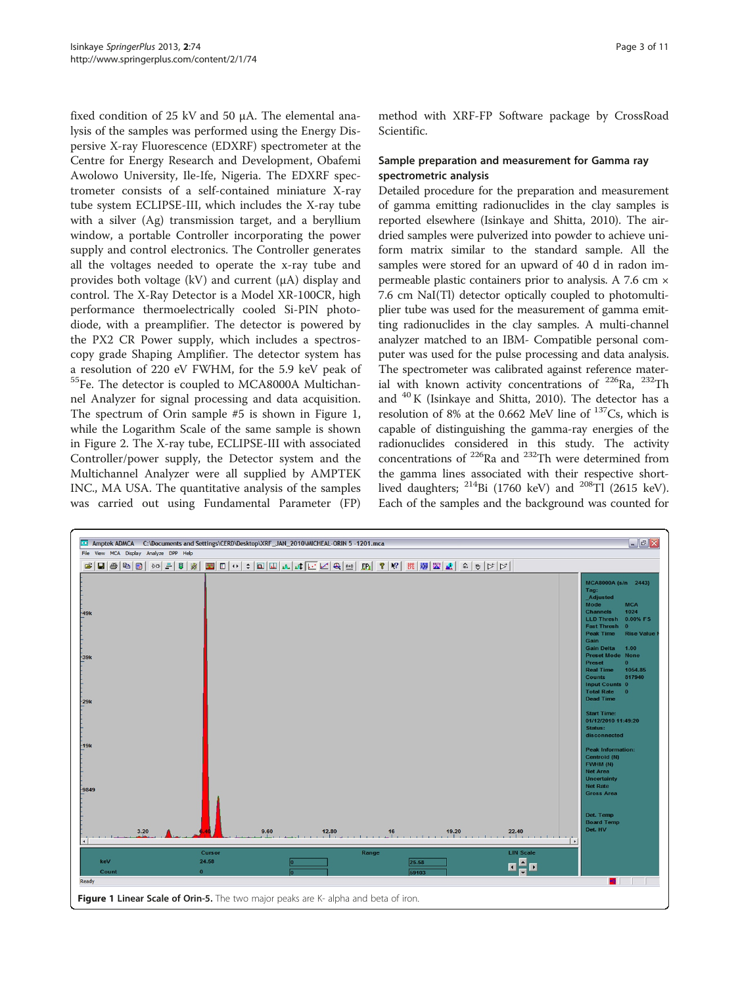fixed condition of 25 kV and 50 μA. The elemental analysis of the samples was performed using the Energy Dispersive X-ray Fluorescence (EDXRF) spectrometer at the Centre for Energy Research and Development, Obafemi Awolowo University, Ile-Ife, Nigeria. The EDXRF spectrometer consists of a self-contained miniature X-ray tube system ECLIPSE-III, which includes the X-ray tube with a silver (Ag) transmission target, and a beryllium window, a portable Controller incorporating the power supply and control electronics. The Controller generates all the voltages needed to operate the x-ray tube and provides both voltage (kV) and current (μA) display and control. The X-Ray Detector is a Model XR-100CR, high performance thermoelectrically cooled Si-PIN photodiode, with a preamplifier. The detector is powered by the PX2 CR Power supply, which includes a spectroscopy grade Shaping Amplifier. The detector system has a resolution of 220 eV FWHM, for the 5.9 keV peak of 55Fe. The detector is coupled to MCA8000A Multichannel Analyzer for signal processing and data acquisition. The spectrum of Orin sample #5 is shown in Figure 1, while the Logarithm Scale of the same sample is shown in Figure [2](#page-3-0). The X-ray tube, ECLIPSE-III with associated Controller/power supply, the Detector system and the Multichannel Analyzer were all supplied by AMPTEK INC., MA USA. The quantitative analysis of the samples was carried out using Fundamental Parameter (FP)

method with XRF-FP Software package by CrossRoad Scientific.

## Sample preparation and measurement for Gamma ray spectrometric analysis

Detailed procedure for the preparation and measurement of gamma emitting radionuclides in the clay samples is reported elsewhere (Isinkaye and Shitta, [2010\)](#page-9-0). The airdried samples were pulverized into powder to achieve uniform matrix similar to the standard sample. All the samples were stored for an upward of 40 d in radon impermeable plastic containers prior to analysis. A 7.6 cm × 7.6 cm NaI(Tl) detector optically coupled to photomultiplier tube was used for the measurement of gamma emitting radionuclides in the clay samples. A multi-channel analyzer matched to an IBM- Compatible personal computer was used for the pulse processing and data analysis. The spectrometer was calibrated against reference material with known activity concentrations of  $^{226}$ Ra,  $^{232}$ Th and  $40$  K (Isinkaye and Shitta, [2010](#page-9-0)). The detector has a resolution of 8% at the 0.662 MeV line of  $137Cs$ , which is capable of distinguishing the gamma-ray energies of the radionuclides considered in this study. The activity concentrations of 226Ra and 232Th were determined from the gamma lines associated with their respective shortlived daughters;  $^{214}$ Bi (1760 keV) and  $^{208}$ Tl (2615 keV). Each of the samples and the background was counted for

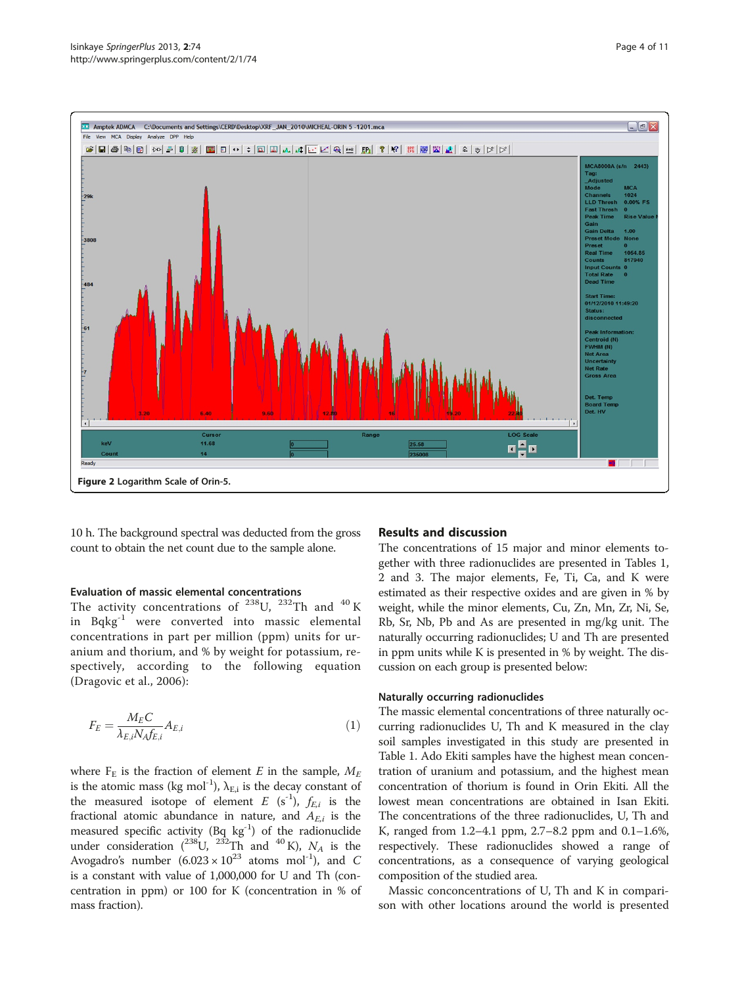<span id="page-3-0"></span>

10 h. The background spectral was deducted from the gross count to obtain the net count due to the sample alone.

## Evaluation of massic elemental concentrations

The activity concentrations of  $^{238}$ U,  $^{232}$ Th and  $^{40}$ K in Bqkg-1 were converted into massic elemental concentrations in part per million (ppm) units for uranium and thorium, and % by weight for potassium, respectively, according to the following equation (Dragovic et al., [2006](#page-9-0)):

$$
F_E = \frac{M_E C}{\lambda_{E,i} N_A f_{E,i}} A_{E,i}
$$
\n(1)

where  $F_E$  is the fraction of element E in the sample,  $M_E$ is the atomic mass (kg mol<sup>-1</sup>),  $\lambda_{E,i}$  is the decay constant of the measured isotope of element E  $(s^{-1})$ ,  $f_{E,i}$  is the fractional atomic abundance in nature, and  $A_{E,i}$  is the measured specific activity (Bq  $kg^{-1}$ ) of the radionuclide under consideration  $(^{238}U, ^{232}Th$  and <sup>40</sup>K),  $N_A$  is the Avogadro's number  $(6.023 \times 10^{23} \text{ atoms mol}^{-1})$ , and C is a constant with value of 1,000,000 for U and Th (concentration in ppm) or 100 for K (concentration in % of mass fraction).

### Results and discussion

The concentrations of 15 major and minor elements together with three radionuclides are presented in Tables [1](#page-4-0), [2](#page-4-0) and [3](#page-5-0). The major elements, Fe, Ti, Ca, and K were estimated as their respective oxides and are given in % by weight, while the minor elements, Cu, Zn, Mn, Zr, Ni, Se, Rb, Sr, Nb, Pb and As are presented in mg/kg unit. The naturally occurring radionuclides; U and Th are presented in ppm units while K is presented in % by weight. The discussion on each group is presented below:

## Naturally occurring radionuclides

The massic elemental concentrations of three naturally occurring radionuclides U, Th and K measured in the clay soil samples investigated in this study are presented in Table [1](#page-4-0). Ado Ekiti samples have the highest mean concentration of uranium and potassium, and the highest mean concentration of thorium is found in Orin Ekiti. All the lowest mean concentrations are obtained in Isan Ekiti. The concentrations of the three radionuclides, U, Th and K, ranged from 1.2–4.1 ppm, 2.7–8.2 ppm and 0.1–1.6%, respectively. These radionuclides showed a range of concentrations, as a consequence of varying geological composition of the studied area.

Massic conconcentrations of U, Th and K in comparison with other locations around the world is presented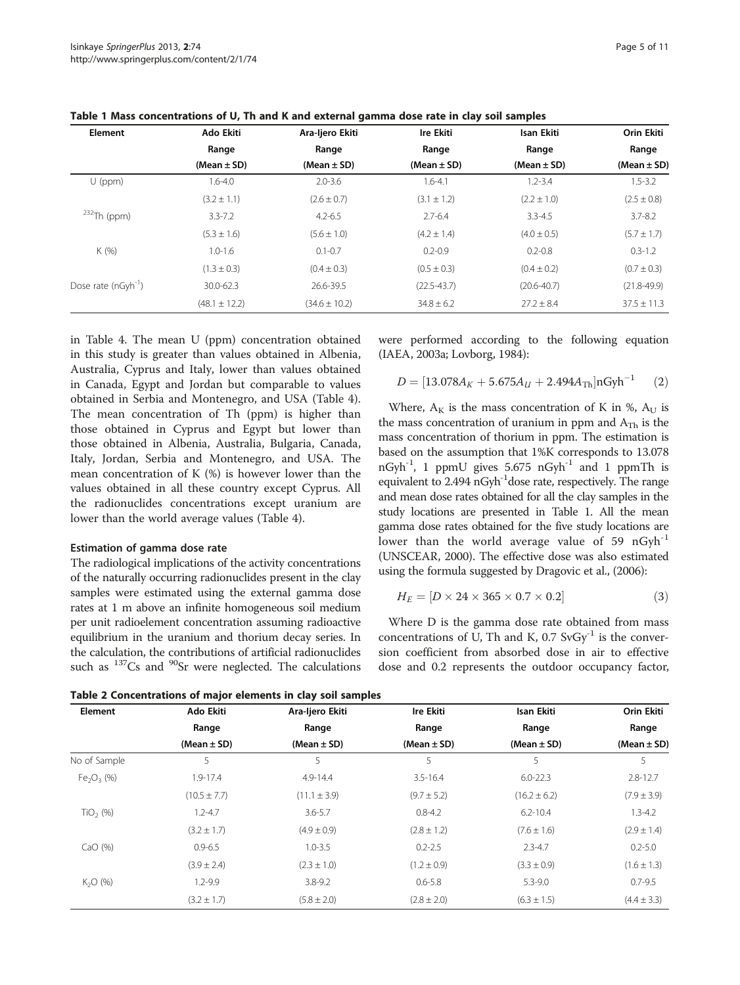| Element                 | Ado Ekiti         | Ara-ljero Ekiti   | <b>Ire Ekiti</b> | Isan Ekiti      | Orin Ekiti      |
|-------------------------|-------------------|-------------------|------------------|-----------------|-----------------|
|                         | Range             | Range             | Range            | Range           | Range           |
|                         | (Mean $\pm$ SD)   | (Mean $\pm$ SD)   | (Mean $\pm$ SD)  | (Mean $\pm$ SD) | (Mean $\pm$ SD) |
| $U$ (ppm)               | $1.6 - 4.0$       | $2.0 - 3.6$       | $1.6 - 4.1$      | $1.2 - 3.4$     | $1.5 - 3.2$     |
|                         | $(3.2 \pm 1.1)$   | $(2.6 \pm 0.7)$   | $(3.1 \pm 1.2)$  | $(2.2 \pm 1.0)$ | $(2.5 \pm 0.8)$ |
| $232$ Th (ppm)          | $3.3 - 7.2$       | $4.2 - 6.5$       | $2.7 - 6.4$      | $3.3 - 4.5$     | $3.7 - 8.2$     |
|                         | $(5.3 \pm 1.6)$   | $(5.6 \pm 1.0)$   | $(4.2 \pm 1.4)$  | $(4.0 \pm 0.5)$ | $(5.7 \pm 1.7)$ |
| K (%)                   | $1.0 - 1.6$       | $0.1 - 0.7$       | $0.2 - 0.9$      | $0.2 - 0.8$     | $0.3 - 1.2$     |
|                         | $(1.3 \pm 0.3)$   | $(0.4 \pm 0.3)$   | $(0.5 \pm 0.3)$  | $(0.4 \pm 0.2)$ | $(0.7 \pm 0.3)$ |
| Dose rate $(nGyh^{-1})$ | 30.0-62.3         | 26.6-39.5         | $(22.5 - 43.7)$  | $(20.6 - 40.7)$ | $(21.8 - 49.9)$ |
|                         | $(48.1 \pm 12.2)$ | $(34.6 \pm 10.2)$ | $34.8 \pm 6.2$   | $27.2 \pm 8.4$  | $37.5 \pm 11.3$ |

<span id="page-4-0"></span>Table 1 Mass concentrations of U, Th and K and external gamma dose rate in clay soil samples

in Table [4](#page-5-0). The mean U (ppm) concentration obtained in this study is greater than values obtained in Albenia, Australia, Cyprus and Italy, lower than values obtained in Canada, Egypt and Jordan but comparable to values obtained in Serbia and Montenegro, and USA (Table [4](#page-5-0)). The mean concentration of Th (ppm) is higher than those obtained in Cyprus and Egypt but lower than those obtained in Albenia, Australia, Bulgaria, Canada, Italy, Jordan, Serbia and Montenegro, and USA. The mean concentration of  $K$  (%) is however lower than the values obtained in all these country except Cyprus. All the radionuclides concentrations except uranium are lower than the world average values (Table [4](#page-5-0)).

### Estimation of gamma dose rate

The radiological implications of the activity concentrations of the naturally occurring radionuclides present in the clay samples were estimated using the external gamma dose rates at 1 m above an infinite homogeneous soil medium per unit radioelement concentration assuming radioactive equilibrium in the uranium and thorium decay series. In the calculation, the contributions of artificial radionuclides such as  $137Cs$  and  $90Sr$  were neglected. The calculations were performed according to the following equation (IAEA, [2003a;](#page-9-0) Lovborg, [1984\)](#page-10-0):

$$
D = [13.078AK + 5.675AU + 2.494ATh]nGyh-1 (2)
$$

Where,  $A_K$  is the mass concentration of K in %,  $A_U$  is the mass concentration of uranium in ppm and  $A_{Th}$  is the mass concentration of thorium in ppm. The estimation is based on the assumption that 1%K corresponds to 13.078 nGyh<sup>-1</sup>, 1 ppmU gives 5.675 nGyh<sup>-1</sup> and 1 ppmTh is equivalent to 2.494 nGyh<sup>-1</sup>dose rate, respectively. The range and mean dose rates obtained for all the clay samples in the study locations are presented in Table 1. All the mean gamma dose rates obtained for the five study locations are lower than the world average value of  $59 \text{ nGv}$ h<sup>-1</sup> (UNSCEAR, [2000](#page-10-0)). The effective dose was also estimated using the formula suggested by Dragovic et al., ([2006\)](#page-9-0):

$$
H_E = [D \times 24 \times 365 \times 0.7 \times 0.2]
$$
\n(3)

Where D is the gamma dose rate obtained from mass concentrations of U, Th and K,  $0.7 \text{ SvGv}^{-1}$  is the conversion coefficient from absorbed dose in air to effective dose and 0.2 represents the outdoor occupancy factor,

Table 2 Concentrations of major elements in clay soil samples

| <b>Element</b>       | Ado Ekiti        | Ara-Ijero Ekiti  | <b>Ire Ekiti</b> | Isan Ekiti       | Orin Ekiti      |
|----------------------|------------------|------------------|------------------|------------------|-----------------|
|                      | Range            | Range            | Range            | Range            | Range           |
|                      | (Mean $\pm$ SD)  | (Mean $\pm$ SD)  | (Mean $\pm$ SD)  | (Mean $\pm$ SD)  | (Mean $\pm$ SD) |
| No of Sample         | 5                | 5                | 5                | 5                | 5               |
| $Fe2O3$ (%)          | 1.9-17.4         | $4.9 - 14.4$     | $3.5 - 16.4$     | $6.0 - 22.3$     | $2.8 - 12.7$    |
|                      | $(10.5 \pm 7.7)$ | $(11.1 \pm 3.9)$ | $(9.7 \pm 5.2)$  | $(16.2 \pm 6.2)$ | $(7.9 \pm 3.9)$ |
| $TiO2$ (%)           | $1.2 - 4.7$      | $3.6 - 5.7$      | $0.8 - 4.2$      | $6.2 - 10.4$     | $1.3 - 4.2$     |
|                      | $(3.2 \pm 1.7)$  | $(4.9 \pm 0.9)$  | $(2.8 \pm 1.2)$  | $(7.6 \pm 1.6)$  | $(2.9 \pm 1.4)$ |
| CaO(96)              | $0.9 - 6.5$      | $1.0 - 3.5$      | $0.2 - 2.5$      | $2.3 - 4.7$      | $0.2 - 5.0$     |
|                      | $(3.9 \pm 2.4)$  | $(2.3 \pm 1.0)$  | $(1.2 \pm 0.9)$  | $(3.3 \pm 0.9)$  | $(1.6 \pm 1.3)$ |
| K <sub>2</sub> O (%) | $1.2 - 9.9$      | $3.8 - 9.2$      | $0.6 - 5.8$      | $5.3 - 9.0$      | $0.7 - 9.5$     |
|                      | $(3.2 \pm 1.7)$  | $(5.8 \pm 2.0)$  | $(2.8 \pm 2.0)$  | $(6.3 \pm 1.5)$  | $(4.4 \pm 3.3)$ |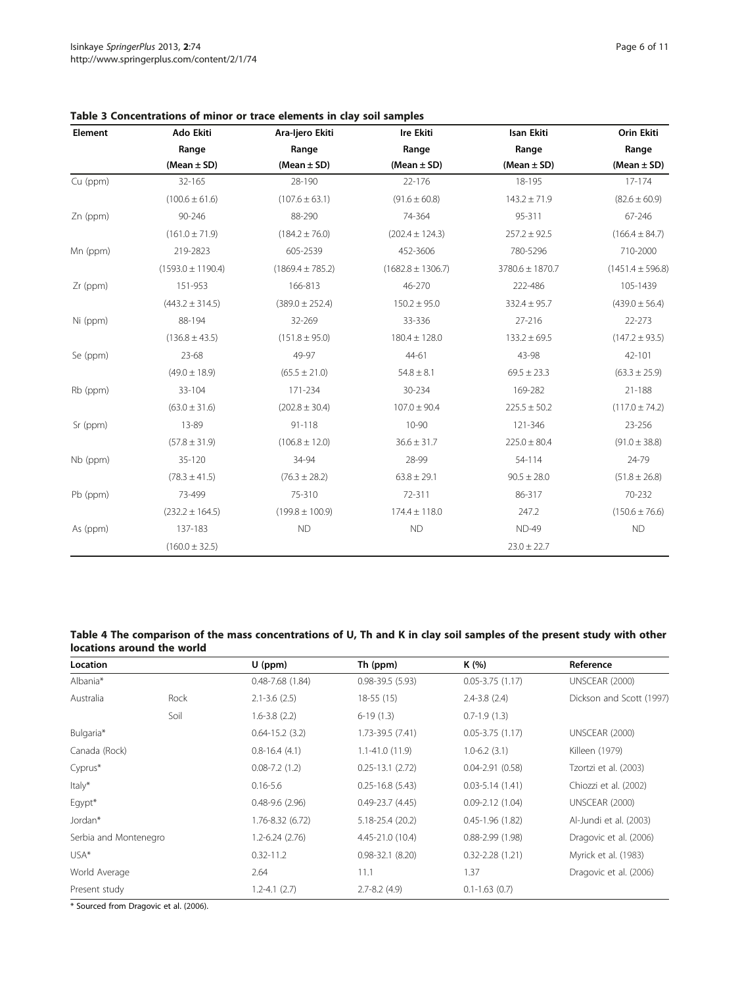| <b>Element</b> | <b>Ado Ekiti</b>      | Ara-Ijero Ekiti      | Ire Ekiti             | <b>Isan Ekiti</b> | <b>Orin Ekiti</b>    |
|----------------|-----------------------|----------------------|-----------------------|-------------------|----------------------|
|                | Range                 | Range                | Range                 | Range             | Range                |
|                | (Mean $\pm$ SD)       | (Mean $\pm$ SD)      | (Mean $\pm$ SD)       | (Mean $\pm$ SD)   | (Mean $\pm$ SD)      |
| Cu (ppm)       | 32-165                | 28-190               | 22-176                | 18-195            | 17-174               |
|                | $(100.6 \pm 61.6)$    | $(107.6 \pm 63.1)$   | $(91.6 \pm 60.8)$     | $143.2 \pm 71.9$  | $(82.6 \pm 60.9)$    |
| Zn (ppm)       | 90-246                | 88-290               | 74-364                | 95-311            | 67-246               |
|                | $(161.0 \pm 71.9)$    | $(184.2 \pm 76.0)$   | $(202.4 \pm 124.3)$   | $257.2 \pm 92.5$  | $(166.4 \pm 84.7)$   |
| Mn (ppm)       | 219-2823              | 605-2539             | 452-3606              | 780-5296          | 710-2000             |
|                | $(1593.0 \pm 1190.4)$ | $(1869.4 \pm 785.2)$ | $(1682.8 \pm 1306.7)$ | 3780.6 ± 1870.7   | $(1451.4 \pm 596.8)$ |
| Zr (ppm)       | 151-953               | 166-813              | 46-270                | 222-486           | 105-1439             |
|                | $(443.2 \pm 314.5)$   | $(389.0 \pm 252.4)$  | $150.2 \pm 95.0$      | $332.4 \pm 95.7$  | $(439.0 \pm 56.4)$   |
| Ni (ppm)       | 88-194                | 32-269               | 33-336                | 27-216            | 22-273               |
|                | $(136.8 \pm 43.5)$    | $(151.8 \pm 95.0)$   | $180.4 \pm 128.0$     | $133.2 \pm 69.5$  | $(147.2 \pm 93.5)$   |
| Se (ppm)       | 23-68                 | 49-97                | 44-61                 | 43-98             | 42-101               |
|                | $(49.0 \pm 18.9)$     | $(65.5 \pm 21.0)$    | $54.8 \pm 8.1$        | $69.5 \pm 23.3$   | $(63.3 \pm 25.9)$    |
| Rb (ppm)       | 33-104                | 171-234              | 30-234                | 169-282           | $21 - 188$           |
|                | $(63.0 \pm 31.6)$     | $(202.8 \pm 30.4)$   | $107.0 \pm 90.4$      | $225.5 \pm 50.2$  | $(117.0 \pm 74.2)$   |
| Sr (ppm)       | 13-89                 | $91 - 118$           | 10-90                 | 121-346           | 23-256               |
|                | $(57.8 \pm 31.9)$     | $(106.8 \pm 12.0)$   | $36.6 \pm 31.7$       | $225.0 \pm 80.4$  | $(91.0 \pm 38.8)$    |
| Nb (ppm)       | 35-120                | 34-94                | 28-99                 | 54-114            | 24-79                |
|                | $(78.3 \pm 41.5)$     | $(76.3 \pm 28.2)$    | $63.8 \pm 29.1$       | $90.5 \pm 28.0$   | $(51.8 \pm 26.8)$    |
| Pb (ppm)       | 73-499                | 75-310               | 72-311                | 86-317            | 70-232               |
|                | $(232.2 \pm 164.5)$   | $(199.8 \pm 100.9)$  | $174.4 \pm 118.0$     | 247.2             | $(150.6 \pm 76.6)$   |
| As (ppm)       | 137-183               | <b>ND</b>            | <b>ND</b>             | <b>ND-49</b>      | <b>ND</b>            |
|                | $(160.0 \pm 32.5)$    |                      |                       | $23.0 \pm 22.7$   |                      |

## <span id="page-5-0"></span>Table 3 Concentrations of minor or trace elements in clay soil samples

## Table 4 The comparison of the mass concentrations of U, Th and K in clay soil samples of the present study with other locations around the world

| Location              |      | $U$ (ppm)              | Th (ppm)               | K(%)                 | Reference                |
|-----------------------|------|------------------------|------------------------|----------------------|--------------------------|
| Albania*              |      | $0.48 - 7.68$ $(1.84)$ | $0.98 - 39.5(5.93)$    | $0.05 - 3.75(1.17)$  | <b>UNSCEAR (2000)</b>    |
| Australia             | Rock | $2.1 - 3.6$ (2.5)      | $18-55(15)$            | $2.4 - 3.8$ $(2.4)$  | Dickson and Scott (1997) |
|                       | Soil | $1.6 - 3.8$ $(2.2)$    | $6-19(1.3)$            | $0.7 - 1.9(1.3)$     |                          |
| Bulgaria*             |      | $0.64 - 15.2$ (3.2)    | 1.73-39.5 (7.41)       | $0.05 - 3.75(1.17)$  | <b>UNSCEAR (2000)</b>    |
| Canada (Rock)         |      | $0.8 - 16.4(4.1)$      | $1.1 - 41.0(11.9)$     | $1.0 - 6.2$ (3.1)    | Killeen (1979)           |
| Cyprus*               |      | $0.08 - 7.2(1.2)$      | $0.25 - 13.1$ $(2.72)$ | $0.04 - 2.91(0.58)$  | Tzortzi et al. (2003)    |
| Italy*                |      | $0.16 - 5.6$           | $0.25 - 16.8$ (5.43)   | $0.03 - 5.14(1.41)$  | Chiozzi et al. (2002)    |
| Egypt*                |      | $0.48 - 9.6$ (2.96)    | $0.49 - 23.7$ $(4.45)$ | $0.09 - 2.12(1.04)$  | <b>UNSCEAR (2000)</b>    |
| Jordan*               |      | $1.76 - 8.32(6.72)$    | 5.18-25.4 (20.2)       | $0.45 - 1.96$ (1.82) | Al-Jundi et al. (2003)   |
| Serbia and Montenegro |      | $1.2 - 6.24$ (2.76)    | 4.45-21.0 (10.4)       | $0.88 - 2.99(1.98)$  | Dragovic et al. (2006)   |
| $USA*$                |      | $0.32 - 11.2$          | $0.98 - 32.1$ $(8.20)$ | $0.32 - 2.28(1.21)$  | Myrick et al. (1983)     |
| World Average         |      | 2.64                   | 11.1                   | 1.37                 | Dragovic et al. (2006)   |
| Present study         |      | $1.2 - 4.1$ $(2.7)$    | $2.7 - 8.2(4.9)$       | $0.1 - 1.63$ (0.7)   |                          |

\* Sourced from Dragovic et al. [\(2006](#page-9-0)).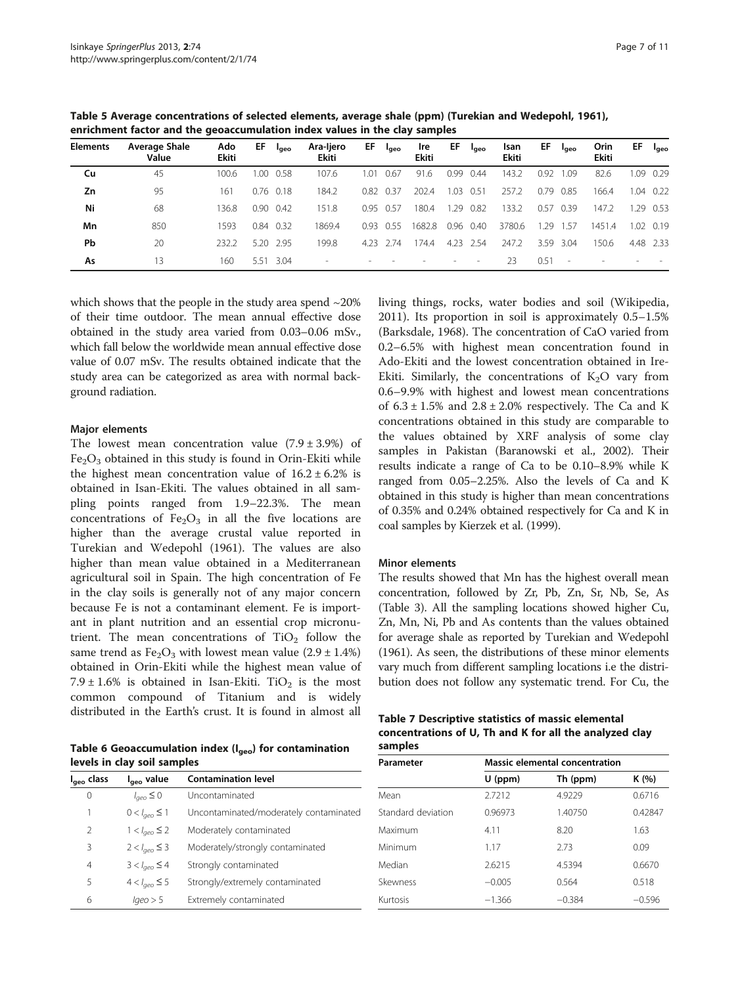| <b>Elements</b> | Average Shale<br>Value | Ado<br><b>Ekiti</b> | EF                | $I_{\text{aeo}}$ | Ara-Ijero<br><b>Ekiti</b> | EF   | $I_{\text{aeo}}$ | Ire<br><b>Ekiti</b> | EF   | I <sub>aeo</sub> | Isan<br><b>Ekiti</b> | EF   | I <sub>aeo</sub>         | Orin<br><b>Ekiti</b> | EF   | $I_{\alpha\text{eo}}$ |
|-----------------|------------------------|---------------------|-------------------|------------------|---------------------------|------|------------------|---------------------|------|------------------|----------------------|------|--------------------------|----------------------|------|-----------------------|
| Cu              | 45                     | 100.6               | 1.00              | 0.58             | 107.6                     | 1.01 | 0.67             | 91.6                | 0.99 | 0.44             | 143.2                | 0.92 | 1.09                     | 82.6                 | 1.09 | 0.29                  |
| Zn              | 95                     | 161                 |                   | $0.76$ 0.18      | 184.2                     | 0.82 | 0.37             | 202.4               | 1.03 | 0.51             | 257.2                | 0.79 | 0.85                     | 166.4                | 1.04 | 0.22                  |
| Ni              | 68                     | 36.8                | 0.90 <sub>1</sub> | 0.42             | 151.8                     | 0.95 | 0.57             | 180.4               | 1.29 | 0.82             | 133.2                | 0.57 | 0.39                     | 147.2                | 1.29 | 0.53                  |
| Mn              | 850                    | 1593                | 0.84              | 0.32             | 1869.4                    | 0.93 | 0.55             | 1682.8              | 0.96 | 0.40             | 3780.6               | .29  | 1.57                     | 1451.4               | 1.02 | 0.19                  |
| Pb              | 20                     | 232.2               | 5.20              | 2.95             | 199.8                     | 4.23 | 274              | 74.4                | 4.23 | 2.54             | 247.2                | 3.59 | 3.04                     | 150.6                | 4.48 | 2.33                  |
| As              | 13                     | 160                 | 5.51              | 3.04             |                           |      |                  |                     |      |                  | 23                   | 0.5  | $\overline{\phantom{a}}$ | $\sim$               |      |                       |

<span id="page-6-0"></span>Table 5 Average concentrations of selected elements, average shale (ppm) (Turekian and Wedepohl, [1961\)](#page-10-0), enrichment factor and the geoaccumulation index values in the clay samples

which shows that the people in the study area spend  $\sim$ 20% of their time outdoor. The mean annual effective dose obtained in the study area varied from 0.03–0.06 mSv., which fall below the worldwide mean annual effective dose value of 0.07 mSv. The results obtained indicate that the study area can be categorized as area with normal background radiation.

### Major elements

The lowest mean concentration value  $(7.9 \pm 3.9\%)$  of  $Fe<sub>2</sub>O<sub>3</sub>$  obtained in this study is found in Orin-Ekiti while the highest mean concentration value of  $16.2 \pm 6.2$ % is obtained in Isan-Ekiti. The values obtained in all sampling points ranged from 1.9–22.3%. The mean concentrations of  $Fe<sub>2</sub>O<sub>3</sub>$  in all the five locations are higher than the average crustal value reported in Turekian and Wedepohl [\(1961\)](#page-10-0). The values are also higher than mean value obtained in a Mediterranean agricultural soil in Spain. The high concentration of Fe in the clay soils is generally not of any major concern because Fe is not a contaminant element. Fe is important in plant nutrition and an essential crop micronutrient. The mean concentrations of  $TiO<sub>2</sub>$  follow the same trend as  $Fe<sub>2</sub>O<sub>3</sub>$  with lowest mean value (2.9  $\pm$  1.4%) obtained in Orin-Ekiti while the highest mean value of 7.9  $\pm$  1.6% is obtained in Isan-Ekiti. TiO<sub>2</sub> is the most common compound of Titanium and is widely distributed in the Earth's crust. It is found in almost all

Table 6 Geoaccumulation index  $(I<sub>geo</sub>)$  for contamination levels in clay soil samples

| $I_{\alpha\alpha}$ class | l <sub>aeo</sub> value           | <b>Contamination level</b>             |
|--------------------------|----------------------------------|----------------------------------------|
| 0                        | $l_{\text{geo}} \leq 0$          | Uncontaminated                         |
| 1                        | $0 < l_{q\varrho\varrho} \leq 1$ | Uncontaminated/moderately contaminated |
| $\mathcal{P}$            | $1 < l_{\text{qero}} \leq 2$     | Moderately contaminated                |
| 3                        | $2 < l_{geo} \leq 3$             | Moderately/strongly contaminated       |
| 4                        | $3 < l_{geo} \leq 4$             | Strongly contaminated                  |
| 5                        | $4 < l_{\text{gen}} \leq 5$      | Strongly/extremely contaminated        |
| 6                        | lgeo > 5                         | Extremely contaminated                 |

living things, rocks, water bodies and soil (Wikipedia, [2011](#page-10-0)). Its proportion in soil is approximately 0.5–1.5% (Barksdale, [1968\)](#page-9-0). The concentration of CaO varied from 0.2–6.5% with highest mean concentration found in Ado-Ekiti and the lowest concentration obtained in Ire-Ekiti. Similarly, the concentrations of  $K_2O$  vary from 0.6–9.9% with highest and lowest mean concentrations of  $6.3 \pm 1.5\%$  and  $2.8 \pm 2.0\%$  respectively. The Ca and K concentrations obtained in this study are comparable to the values obtained by XRF analysis of some clay samples in Pakistan (Baranowski et al., [2002\)](#page-9-0). Their results indicate a range of Ca to be 0.10–8.9% while K ranged from 0.05–2.25%. Also the levels of Ca and K obtained in this study is higher than mean concentrations of 0.35% and 0.24% obtained respectively for Ca and K in coal samples by Kierzek et al. ([1999](#page-9-0)).

## Minor elements

The results showed that Mn has the highest overall mean concentration, followed by Zr, Pb, Zn, Sr, Nb, Se, As (Table [3\)](#page-5-0). All the sampling locations showed higher Cu, Zn, Mn, Ni, Pb and As contents than the values obtained for average shale as reported by Turekian and Wedepohl ([1961](#page-10-0)). As seen, the distributions of these minor elements vary much from different sampling locations i.e the distribution does not follow any systematic trend. For Cu, the

Table 7 Descriptive statistics of massic elemental concentrations of U, Th and K for all the analyzed clay samples

| Parameter          |           | <b>Massic elemental concentration</b> |          |  |  |  |  |  |  |
|--------------------|-----------|---------------------------------------|----------|--|--|--|--|--|--|
|                    | $U$ (ppm) | Th (ppm)                              | K (%)    |  |  |  |  |  |  |
| Mean               | 2.7212    | 4.9229                                | 0.6716   |  |  |  |  |  |  |
| Standard deviation | 0.96973   | 1.40750                               | 0.42847  |  |  |  |  |  |  |
| Maximum            | 4.11      | 8.20                                  | 1.63     |  |  |  |  |  |  |
| Minimum            | 1 1 7     | 2.73                                  | 0.09     |  |  |  |  |  |  |
| Median             | 2.6215    | 4.5394                                | 0.6670   |  |  |  |  |  |  |
| Skewness           | $-0.005$  | 0.564                                 | 0.518    |  |  |  |  |  |  |
| Kurtosis           | $-1.366$  | $-0.384$                              | $-0.596$ |  |  |  |  |  |  |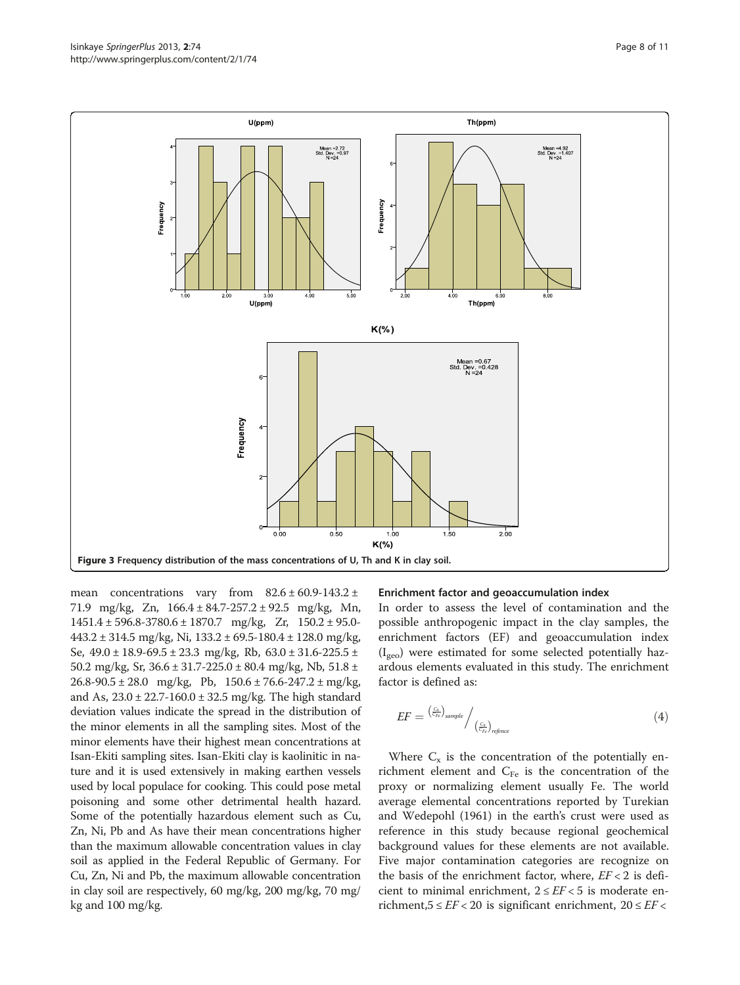<span id="page-7-0"></span>

mean concentrations vary from  $82.6 \pm 60.9 - 143.2 \pm 1$ 71.9 mg/kg, Zn, 166.4 ± 84.7-257.2 ± 92.5 mg/kg, Mn, 1451.4 ± 596.8-3780.6 ± 1870.7 mg/kg, Zr, 150.2 ± 95.0- 443.2 ± 314.5 mg/kg, Ni, 133.2 ± 69.5-180.4 ± 128.0 mg/kg, Se,  $49.0 \pm 18.9 - 69.5 \pm 23.3$  mg/kg, Rb,  $63.0 \pm 31.6 - 225.5 \pm 1.5$ 50.2 mg/kg, Sr,  $36.6 \pm 31.7 - 225.0 \pm 80.4$  mg/kg, Nb,  $51.8 \pm 1.6$  $26.8-90.5 \pm 28.0$  mg/kg, Pb,  $150.6 \pm 76.6-247.2 \pm \text{mg/kg}$ , and As, 23.0 ± 22.7-160.0 ± 32.5 mg/kg. The high standard deviation values indicate the spread in the distribution of the minor elements in all the sampling sites. Most of the minor elements have their highest mean concentrations at Isan-Ekiti sampling sites. Isan-Ekiti clay is kaolinitic in nature and it is used extensively in making earthen vessels used by local populace for cooking. This could pose metal poisoning and some other detrimental health hazard. Some of the potentially hazardous element such as Cu, Zn, Ni, Pb and As have their mean concentrations higher than the maximum allowable concentration values in clay soil as applied in the Federal Republic of Germany. For Cu, Zn, Ni and Pb, the maximum allowable concentration in clay soil are respectively, 60 mg/kg, 200 mg/kg, 70 mg/ kg and 100 mg/kg.

## Enrichment factor and geoaccumulation index

In order to assess the level of contamination and the possible anthropogenic impact in the clay samples, the enrichment factors (EF) and geoaccumulation index  $(I_{\text{geo}})$  were estimated for some selected potentially hazardous elements evaluated in this study. The enrichment factor is defined as:

$$
EF = \left(\frac{\zeta_x}{\zeta_{Fe}}\right)_{sample} / \left(\frac{\zeta_x}{\zeta_{Fe}}\right)_{reference} \tag{4}
$$

Where  $C_x$  is the concentration of the potentially enrichment element and  $C_{Fe}$  is the concentration of the proxy or normalizing element usually Fe. The world average elemental concentrations reported by Turekian and Wedepohl [\(1961\)](#page-10-0) in the earth's crust were used as reference in this study because regional geochemical background values for these elements are not available. Five major contamination categories are recognize on the basis of the enrichment factor, where,  $EF < 2$  is deficient to minimal enrichment,  $2 \leq EF < 5$  is moderate enrichment, $5 \leq EF < 20$  is significant enrichment,  $20 \leq EF <$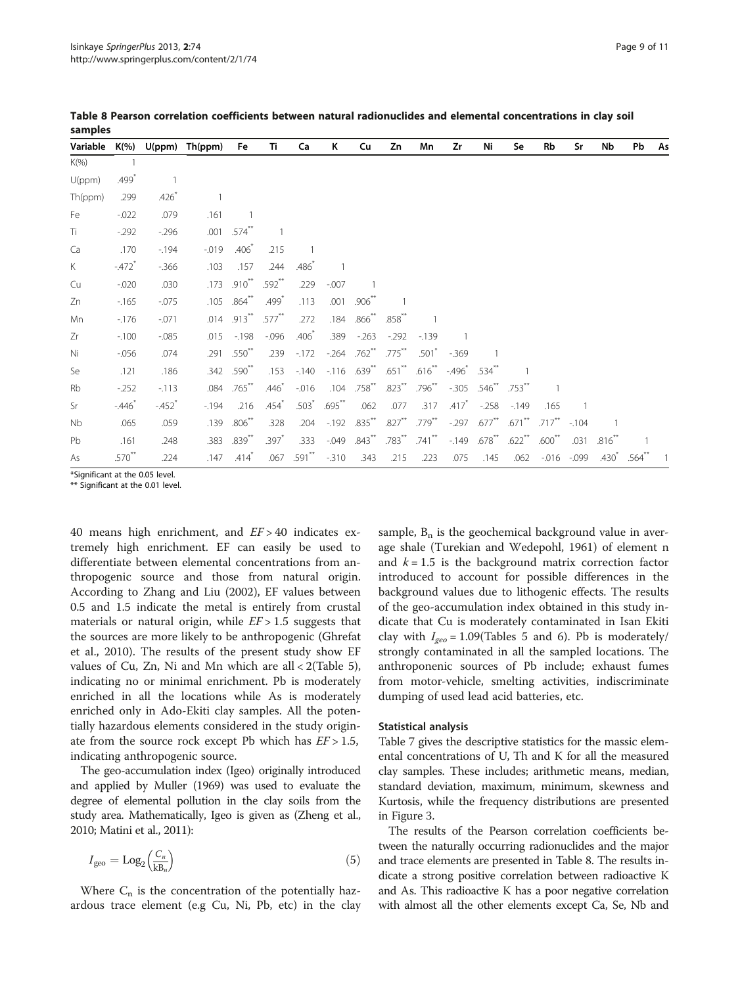| Variable | K(%)                |                      | $U(ppm)$ Th(ppm) | Fe                   | Τi                   | Ca        | κ         | Cu                        | Zn                   | Mn                   | Zr                          | Ni                   | Se                   | Rb        | Sr       | Nb                | Pb                   | As |
|----------|---------------------|----------------------|------------------|----------------------|----------------------|-----------|-----------|---------------------------|----------------------|----------------------|-----------------------------|----------------------|----------------------|-----------|----------|-------------------|----------------------|----|
| $K(\%)$  | 1                   |                      |                  |                      |                      |           |           |                           |                      |                      |                             |                      |                      |           |          |                   |                      |    |
| U(ppm)   | .499 <sup>°</sup>   |                      |                  |                      |                      |           |           |                           |                      |                      |                             |                      |                      |           |          |                   |                      |    |
| Th(ppm)  | .299                | .426                 |                  |                      |                      |           |           |                           |                      |                      |                             |                      |                      |           |          |                   |                      |    |
| Fe       | $-0.022$            | .079                 | .161             |                      |                      |           |           |                           |                      |                      |                             |                      |                      |           |          |                   |                      |    |
| Ti       | $-292$              | $-296$               | .001             | $.574$ **            |                      |           |           |                           |                      |                      |                             |                      |                      |           |          |                   |                      |    |
| Ca       | .170                | $-194$               | $-0.019$         | .406                 | .215                 |           |           |                           |                      |                      |                             |                      |                      |           |          |                   |                      |    |
| К        | $-472$ <sup>*</sup> | $-366$               | .103             | .157                 | .244                 | .486      |           |                           |                      |                      |                             |                      |                      |           |          |                   |                      |    |
| Cu       | $-0.020$            | .030                 | .173             | $.910***$            | $.592$ <sup>**</sup> | .229      | $-0.007$  |                           |                      |                      |                             |                      |                      |           |          |                   |                      |    |
| Zn       | $-165$              | $-0.075$             | .105             | $.864$ <sup>**</sup> | .499*                | .113      | .001      | $.906$ <sup>**</sup>      |                      |                      |                             |                      |                      |           |          |                   |                      |    |
| Mn       | $-176$              | $-0.071$             | .014             | $.913$ **            | $.577$ <sup>**</sup> | .272      | .184      | $.866^{**}$               | $.858***$            |                      |                             |                      |                      |           |          |                   |                      |    |
| Ζr       | $-100$              | $-0.085$             | .015             | $-198$               | $-0.096$             | $.406*$   | .389      | $-263$                    | $-292$               | $-139$               |                             |                      |                      |           |          |                   |                      |    |
| Ni       | $-0.056$            | .074                 | .291             | $.550^{**}$          | .239                 | $-172$    | $-264$    | $.762$ <sup>**</sup>      | $.775$ <sup>**</sup> | $.501$ <sup>*</sup>  | $-369$                      |                      |                      |           |          |                   |                      |    |
| Se       | .121                | .186                 | .342             | $.590^{**}$          | .153                 | $-140$    |           | $-116$ .639 <sup>**</sup> | $.651**$             | $.616^{**}$          | $-496$ $.534$ <sup>**</sup> |                      |                      |           |          |                   |                      |    |
| Rb       | $-252$              | $-113$               | .084             | $.765***$            | $.446*$              | $-0.016$  | .104      | $.758***$                 | $.823***$            | $.796***$            | $-305$                      | $.546$ <sup>**</sup> | $.753$ <sup>**</sup> |           |          |                   |                      |    |
| Sr       | $-446$ <sup>*</sup> | $-.452$ <sup>*</sup> | $-194$           | .216                 | $.454$ <sup>*</sup>  | $.503*$   | $.695***$ | .062                      | .077                 | .317                 | $.417$ <sup>*</sup>         | $-258$               | $-149$               | .165      |          |                   |                      |    |
| Nb       | .065                | .059                 | .139             | $.806**$             | .328                 | .204      | $-192$    | $.835***$                 | $.827$ <sup>**</sup> | $.779***$            | $-297$                      | $.677$ <sup>**</sup> | $.671$ <sup>**</sup> | $.717***$ | $-104$   |                   |                      |    |
| Pb       | .161                | .248                 | .383             | $.839***$            | $.397*$              | .333      | $-0.049$  | $.843***$                 | $.783**$             | $.741$ <sup>**</sup> | $-149$                      | $.678$ **            | $.622$ <sup>**</sup> | $.600**$  | .031     | .816              |                      |    |
| As       | $.570***$           | .224                 | .147             | $.414$ <sup>*</sup>  | .067                 | $.591$ ** | $-310$    | .343                      | .215                 | .223                 | .075                        | .145                 | .062                 | $-0.016$  | $-0.099$ | .430 <sup>°</sup> | $.564$ <sup>**</sup> |    |

Table 8 Pearson correlation coefficients between natural radionuclides and elemental concentrations in clay soil samples

\*Significant at the 0.05 level.

\*\* Significant at the 0.01 level.

40 means high enrichment, and EF > 40 indicates extremely high enrichment. EF can easily be used to differentiate between elemental concentrations from anthropogenic source and those from natural origin. According to Zhang and Liu ([2002](#page-10-0)), EF values between 0.5 and 1.5 indicate the metal is entirely from crustal materials or natural origin, while  $EF > 1.5$  suggests that the sources are more likely to be anthropogenic (Ghrefat et al., [2010\)](#page-9-0). The results of the present study show EF values of Cu, Zn, Ni and Mn which are all  $< 2$ (Table [5](#page-6-0)), indicating no or minimal enrichment. Pb is moderately enriched in all the locations while As is moderately enriched only in Ado-Ekiti clay samples. All the potentially hazardous elements considered in the study originate from the source rock except Pb which has  $EF > 1.5$ , indicating anthropogenic source.

The geo-accumulation index (Igeo) originally introduced and applied by Muller [\(1969](#page-10-0)) was used to evaluate the degree of elemental pollution in the clay soils from the study area. Mathematically, Igeo is given as (Zheng et al., [2010;](#page-10-0) Matini et al., [2011\)](#page-10-0):

$$
I_{\rm geo} = \text{Log}_2\left(\frac{C_n}{k_{B_n}}\right) \tag{5}
$$

Where  $C_n$  is the concentration of the potentially hazardous trace element (e.g Cu, Ni, Pb, etc) in the clay sample,  $B_n$  is the geochemical background value in average shale (Turekian and Wedepohl, [1961\)](#page-10-0) of element n and  $k = 1.5$  is the background matrix correction factor introduced to account for possible differences in the background values due to lithogenic effects. The results of the geo-accumulation index obtained in this study indicate that Cu is moderately contaminated in Isan Ekiti clay with  $I_{geo} = 1.09$ (Tables [5](#page-6-0) and [6\)](#page-6-0). Pb is moderately/ strongly contaminated in all the sampled locations. The anthroponenic sources of Pb include; exhaust fumes from motor-vehicle, smelting activities, indiscriminate dumping of used lead acid batteries, etc.

### Statistical analysis

Table [7](#page-6-0) gives the descriptive statistics for the massic elemental concentrations of U, Th and K for all the measured clay samples. These includes; arithmetic means, median, standard deviation, maximum, minimum, skewness and Kurtosis, while the frequency distributions are presented in Figure [3.](#page-7-0)

The results of the Pearson correlation coefficients between the naturally occurring radionuclides and the major and trace elements are presented in Table 8. The results indicate a strong positive correlation between radioactive K and As. This radioactive K has a poor negative correlation with almost all the other elements except Ca, Se, Nb and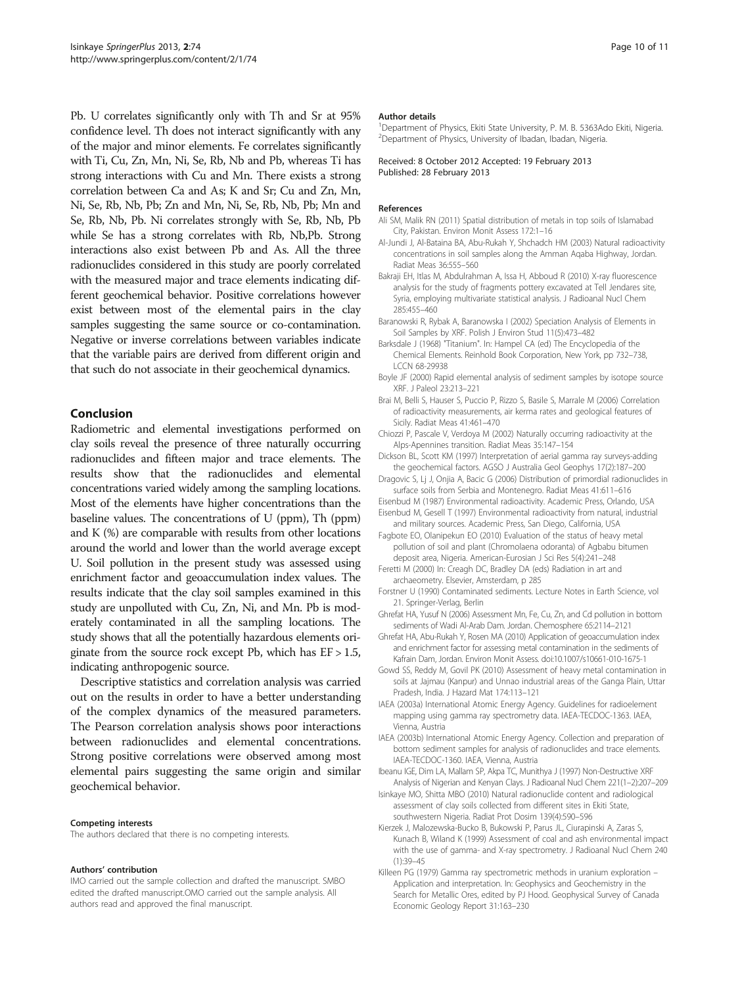<span id="page-9-0"></span>Pb. U correlates significantly only with Th and Sr at 95% confidence level. Th does not interact significantly with any of the major and minor elements. Fe correlates significantly with Ti, Cu, Zn, Mn, Ni, Se, Rb, Nb and Pb, whereas Ti has strong interactions with Cu and Mn. There exists a strong correlation between Ca and As; K and Sr; Cu and Zn, Mn, Ni, Se, Rb, Nb, Pb; Zn and Mn, Ni, Se, Rb, Nb, Pb; Mn and Se, Rb, Nb, Pb. Ni correlates strongly with Se, Rb, Nb, Pb while Se has a strong correlates with Rb, Nb,Pb. Strong interactions also exist between Pb and As. All the three radionuclides considered in this study are poorly correlated with the measured major and trace elements indicating different geochemical behavior. Positive correlations however exist between most of the elemental pairs in the clay samples suggesting the same source or co-contamination. Negative or inverse correlations between variables indicate that the variable pairs are derived from different origin and that such do not associate in their geochemical dynamics.

## Conclusion

Radiometric and elemental investigations performed on clay soils reveal the presence of three naturally occurring radionuclides and fifteen major and trace elements. The results show that the radionuclides and elemental concentrations varied widely among the sampling locations. Most of the elements have higher concentrations than the baseline values. The concentrations of U (ppm), Th (ppm) and K (%) are comparable with results from other locations around the world and lower than the world average except U. Soil pollution in the present study was assessed using enrichment factor and geoaccumulation index values. The results indicate that the clay soil samples examined in this study are unpolluted with Cu, Zn, Ni, and Mn. Pb is moderately contaminated in all the sampling locations. The study shows that all the potentially hazardous elements originate from the source rock except Pb, which has  $EF > 1.5$ , indicating anthropogenic source.

Descriptive statistics and correlation analysis was carried out on the results in order to have a better understanding of the complex dynamics of the measured parameters. The Pearson correlation analysis shows poor interactions between radionuclides and elemental concentrations. Strong positive correlations were observed among most elemental pairs suggesting the same origin and similar geochemical behavior.

#### Competing interests

The authors declared that there is no competing interests.

#### Authors' contribution

IMO carried out the sample collection and drafted the manuscript. SMBO edited the drafted manuscript.OMO carried out the sample analysis. All authors read and approved the final manuscript.

#### Author details

<sup>1</sup>Department of Physics, Ekiti State University, P. M. B. 5363Ado Ekiti, Nigeria. <sup>2</sup> Department of Physics, University of Ibadan, Ibadan, Nigeria.

Received: 8 October 2012 Accepted: 19 February 2013 Published: 28 February 2013

#### References

- Ali SM, Malik RN (2011) Spatial distribution of metals in top soils of Islamabad City, Pakistan. Environ Monit Assess 172:1–16
- Al-Jundi J, Al-Bataina BA, Abu-Rukah Y, Shchadch HM (2003) Natural radioactivity concentrations in soil samples along the Amman Aqaba Highway, Jordan. Radiat Meas 36:555–560
- Bakraji EH, Itlas M, Abdulrahman A, Issa H, Abboud R (2010) X-ray fluorescence analysis for the study of fragments pottery excavated at Tell Jendares site, Syria, employing multivariate statistical analysis. J Radioanal Nucl Chem 285:455–460
- Baranowski R, Rybak A, Baranowska I (2002) Speciation Analysis of Elements in Soil Samples by XRF. Polish J Environ Stud 11(5):473–482
- Barksdale J (1968) "Titanium". In: Hampel CA (ed) The Encyclopedia of the Chemical Elements. Reinhold Book Corporation, New York, pp 732–738, LCCN 68-29938
- Boyle JF (2000) Rapid elemental analysis of sediment samples by isotope source XRF. J Paleol 23:213–221
- Brai M, Belli S, Hauser S, Puccio P, Rizzo S, Basile S, Marrale M (2006) Correlation of radioactivity measurements, air kerma rates and geological features of Sicily. Radiat Meas 41:461–470
- Chiozzi P, Pascale V, Verdoya M (2002) Naturally occurring radioactivity at the Alps-Apennines transition. Radiat Meas 35:147–154
- Dickson BL, Scott KM (1997) Interpretation of aerial gamma ray surveys-adding the geochemical factors. AGSO J Australia Geol Geophys 17(2):187–200
- Dragovic S, Lj J, Onjia A, Bacic G (2006) Distribution of primordial radionuclides in surface soils from Serbia and Montenegro. Radiat Meas 41:611–616
- Eisenbud M (1987) Environmental radioactivity. Academic Press, Orlando, USA Eisenbud M, Gesell T (1997) Environmental radioactivity from natural, industrial
- and military sources. Academic Press, San Diego, California, USA Fagbote EO, Olanipekun EO (2010) Evaluation of the status of heavy metal pollution of soil and plant (Chromolaena odoranta) of Agbabu bitumen deposit area, Nigeria. American-Eurosian J Sci Res 5(4):241–248
- Feretti M (2000) In: Creagh DC, Bradley DA (eds) Radiation in art and archaeometry. Elsevier, Amsterdam, p 285
- Forstner U (1990) Contaminated sediments. Lecture Notes in Earth Science, vol 21. Springer-Verlag, Berlin
- Ghrefat HA, Yusuf N (2006) Assessment Mn, Fe, Cu, Zn, and Cd pollution in bottom sediments of Wadi Al-Arab Dam. Jordan. Chemosphere 65:2114–2121
- Ghrefat HA, Abu-Rukah Y, Rosen MA (2010) Application of geoaccumulation index and enrichment factor for assessing metal contamination in the sediments of Kafrain Dam, Jordan. Environ Monit Assess. doi:[10.1007/s10661-010-1675-1](http://dx.doi.org/10.1007/s10661-010-1675-1)
- Gowd SS, Reddy M, Govil PK (2010) Assessment of heavy metal contamination in soils at Jajmau (Kanpur) and Unnao industrial areas of the Ganga Plain, Uttar Pradesh, India. J Hazard Mat 174:113–121
- IAEA (2003a) International Atomic Energy Agency. Guidelines for radioelement mapping using gamma ray spectrometry data. IAEA-TECDOC-1363. IAEA, Vienna, Austria
- IAEA (2003b) International Atomic Energy Agency. Collection and preparation of bottom sediment samples for analysis of radionuclides and trace elements. IAEA-TECDOC-1360. IAEA, Vienna, Austria
- Ibeanu IGE, Dim LA, Mallam SP, Akpa TC, Munithya J (1997) Non-Destructive XRF Analysis of Nigerian and Kenyan Clays. J Radioanal Nucl Chem 221(1–2):207–209
- Isinkaye MO, Shitta MBO (2010) Natural radionuclide content and radiological assessment of clay soils collected from different sites in Ekiti State, southwestern Nigeria. Radiat Prot Dosim 139(4):590–596
- Kierzek J, Malozewska-Bucko B, Bukowski P, Parus JL, Ciurapinski A, Zaras S, Kunach B, Wiland K (1999) Assessment of coal and ash environmental impact with the use of gamma- and X-ray spectrometry. J Radioanal Nucl Chem 240 (1):39–45
- Killeen PG (1979) Gamma ray spectrometric methods in uranium exploration -Application and interpretation. In: Geophysics and Geochemistry in the Search for Metallic Ores, edited by PJ Hood. Geophysical Survey of Canada Economic Geology Report 31:163–230